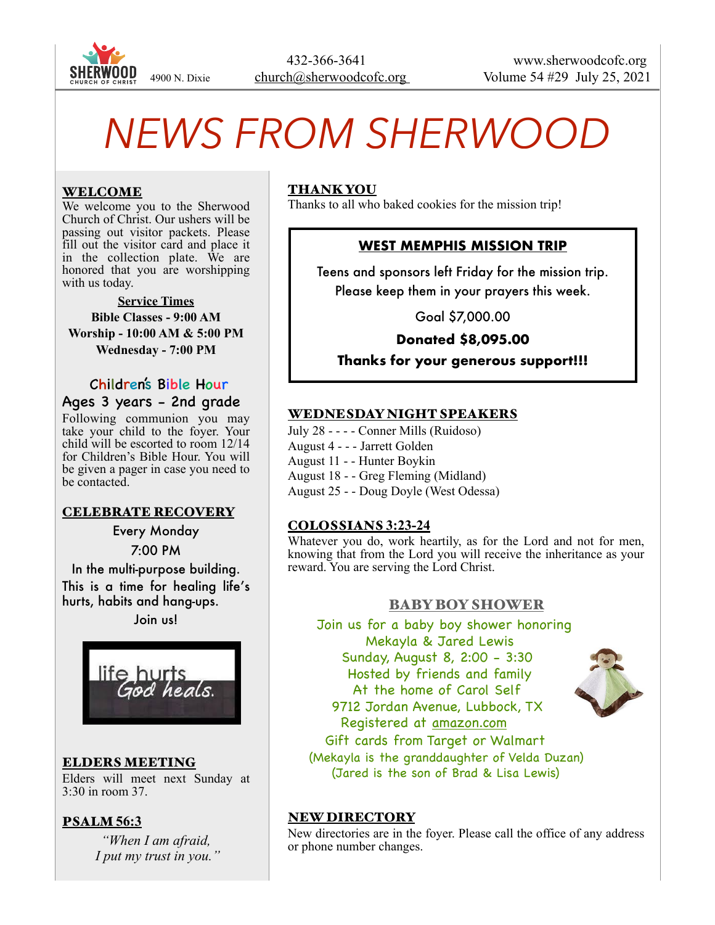

# *NEWS FROM SHERWOOD*

## WELCOME

We welcome you to the Sherwood Church of Christ. Our ushers will be passing out visitor packets. Please fill out the visitor card and place it in the collection plate. We are honored that you are worshipping with us today.

**Service Times Bible Classes - 9:00 AM Worship - 10:00 AM & 5:00 PM Wednesday - 7:00 PM** 

 Children's Bible Hour Ages 3 years - 2nd grade

Following communion you may take your child to the foyer. Your child will be escorted to room 12/14 for Children's Bible Hour. You will be given a pager in case you need to be contacted.

#### CELEBRATE RECOVERY

Every Monday 7:00 PM

In the multi-purpose building. This is a time for healing life's hurts, habits and hang-ups.

Join us!



ELDERS MEETING Elders will meet next Sunday at 3:30 in room 37.

## PSALM **56:3**

*"When I am afraid, I put my trust in you."*

## THANK YOU

Thanks to all who baked cookies for the mission trip!

## **WEST MEMPHIS MISSION TRIP**

Teens and sponsors left Friday for the mission trip. Please keep them in your prayers this week.

Goal \$7,000.00

**Donated \$8,095.00** 

**Thanks for your generous support!!!**

## WEDNESDAY NIGHT SPEAKERS

July 28 - - - - Conner Mills (Ruidoso)

August 4 - - - Jarrett Golden

August 11 - - Hunter Boykin

August 18 - - Greg Fleming (Midland)

August 25 - - Doug Doyle (West Odessa)

## COLOSSIANS **3:23-24**

Whatever you do, work heartily, as for the Lord and not for men, knowing that from the Lord you will receive the inheritance as your reward. You are serving the Lord Christ.

## BABY BOY SHOWER

 Join us for a baby boy shower honoring Mekayla & Jared Lewis Sunday, August 8, 2:00 - 3:30 Hosted by friends and family At the home of Carol Self 9712 Jordan Avenue, Lubbock, TX Registered at [amazon.com](http://amazon.com) Gift cards from Target or Walmart



 (Mekayla is the granddaughter of Velda Duzan) (Jared is the son of Brad & Lisa Lewis)

#### NEW DIRECTORY

New directories are in the foyer. Please call the office of any address or phone number changes.